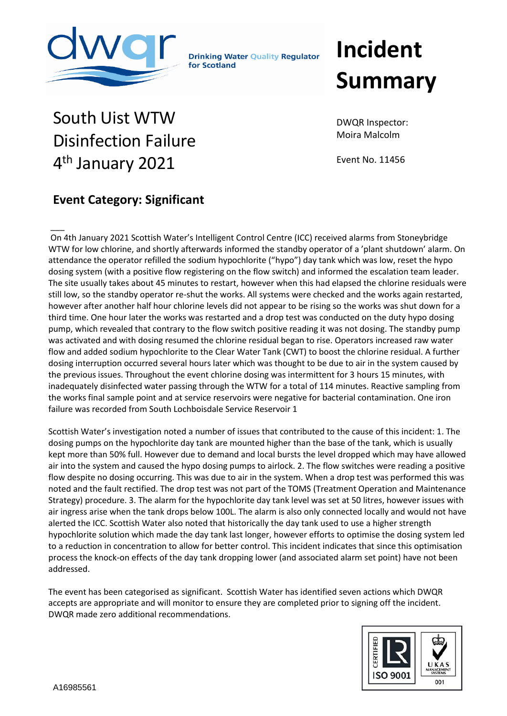

**Drinking Water Quality Regulator** for Scotland

## **Incident Summary**

## South Uist WTW Disinfection Failure 4<sup>th</sup> January 2021

DWQR Inspector: Moira Malcolm

Event No. 11456

## **Event Category: Significant**

 $\overline{\phantom{a}}$ On 4th January 2021 Scottish Water's Intelligent Control Centre (ICC) received alarms from Stoneybridge WTW for low chlorine, and shortly afterwards informed the standby operator of a 'plant shutdown' alarm. On attendance the operator refilled the sodium hypochlorite ("hypo") day tank which was low, reset the hypo dosing system (with a positive flow registering on the flow switch) and informed the escalation team leader. The site usually takes about 45 minutes to restart, however when this had elapsed the chlorine residuals were still low, so the standby operator re-shut the works. All systems were checked and the works again restarted, however after another half hour chlorine levels did not appear to be rising so the works was shut down for a third time. One hour later the works was restarted and a drop test was conducted on the duty hypo dosing pump, which revealed that contrary to the flow switch positive reading it was not dosing. The standby pump was activated and with dosing resumed the chlorine residual began to rise. Operators increased raw water flow and added sodium hypochlorite to the Clear Water Tank (CWT) to boost the chlorine residual. A further dosing interruption occurred several hours later which was thought to be due to air in the system caused by the previous issues. Throughout the event chlorine dosing was intermittent for 3 hours 15 minutes, with inadequately disinfected water passing through the WTW for a total of 114 minutes. Reactive sampling from the works final sample point and at service reservoirs were negative for bacterial contamination. One iron failure was recorded from South Lochboisdale Service Reservoir 1

Scottish Water's investigation noted a number of issues that contributed to the cause of this incident: 1. The dosing pumps on the hypochlorite day tank are mounted higher than the base of the tank, which is usually kept more than 50% full. However due to demand and local bursts the level dropped which may have allowed air into the system and caused the hypo dosing pumps to airlock. 2. The flow switches were reading a positive flow despite no dosing occurring. This was due to air in the system. When a drop test was performed this was noted and the fault rectified. The drop test was not part of the TOMS (Treatment Operation and Maintenance Strategy) procedure. 3. The alarm for the hypochlorite day tank level was set at 50 litres, however issues with air ingress arise when the tank drops below 100L. The alarm is also only connected locally and would not have alerted the ICC. Scottish Water also noted that historically the day tank used to use a higher strength hypochlorite solution which made the day tank last longer, however efforts to optimise the dosing system led to a reduction in concentration to allow for better control. This incident indicates that since this optimisation process the knock-on effects of the day tank dropping lower (and associated alarm set point) have not been addressed.

The event has been categorised as significant. Scottish Water has identified seven actions which DWQR accepts are appropriate and will monitor to ensure they are completed prior to signing off the incident. DWQR made zero additional recommendations.